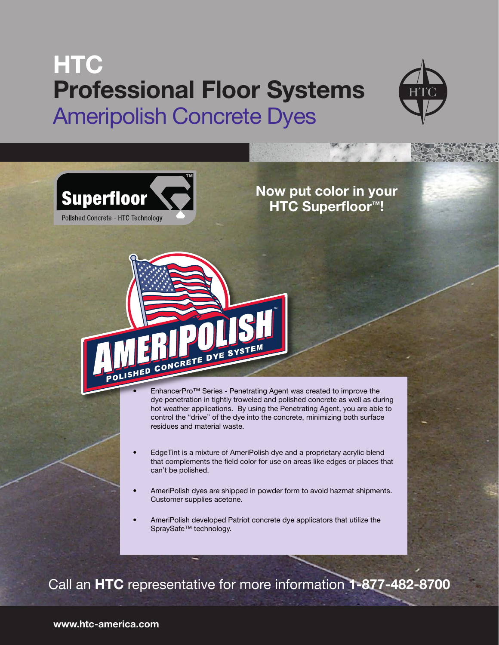## **HTC Professional Floor Systems** Ameripolish Concrete Dyes

CONCRETE DYE SYSTEM





ISHED

**Now put color in your HTC Superfloor™!**



™

- EdgeTint is a mixture of AmeriPolish dye and a proprietary acrylic blend that complements the field color for use on areas like edges or places that can't be polished.
- AmeriPolish dyes are shipped in powder form to avoid hazmat shipments. Customer supplies acetone.
- AmeriPolish developed Patriot concrete dye applicators that utilize the SpraySafe™ technology.

Call an **HTC** representative for more information **1-877-482-8700**

**www.htc-america.com**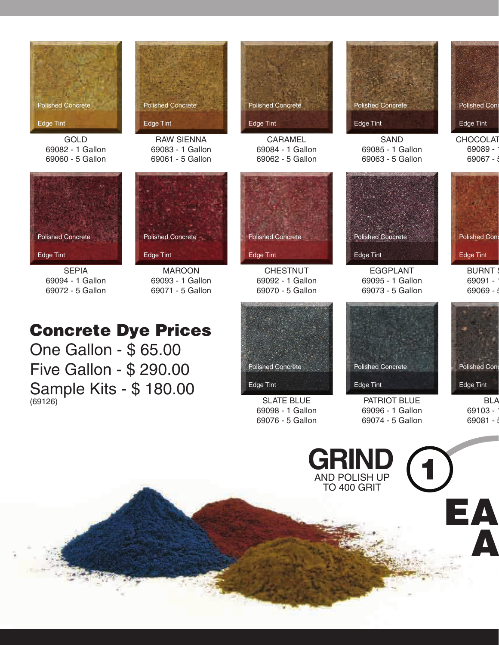

GOLD 69082 - 1 Gallon 69060 - 5 Gallon



SEPIA 69094 - 1 Gallon 69072 - 5 Gallon



RAW SIENNA 69083 - 1 Gallon 69061 - 5 Gallon

MAROON 69093 - 1 Gallon 69071 - 5 Gallon

Polished Concrete

Edge Tint



CARAMEL 69084 - 1 Gallon 69062 - 5 Gallon



**CHESTNUT** 69092 - 1 Gallon 69070 - 5 Gallon

## Concrete Dye Prices

One Gallon - \$ 65.00 Five Gallon - \$ 290.00 Sample Kits - \$ 180.00 (69126)



SLATE BLUE 69098 - 1 Gallon 69076 - 5 Gallon



SAND 69085 - 1 Gallon 69063 - 5 Gallon Polished Con Edge Tint

**CHOCOLAT** 69089 - $69067 -$ 



**BURNT** 69091 -69069 -



EGGPLANT 69095 - 1 Gallon 69073 - 5 Gallon

Polished Concrete

Edge Tint

PATRIOT BLUE 69096 - 1 Gallon 69074 - 5 Gallon



**BLA** 69103 - $69081 - 5$ 

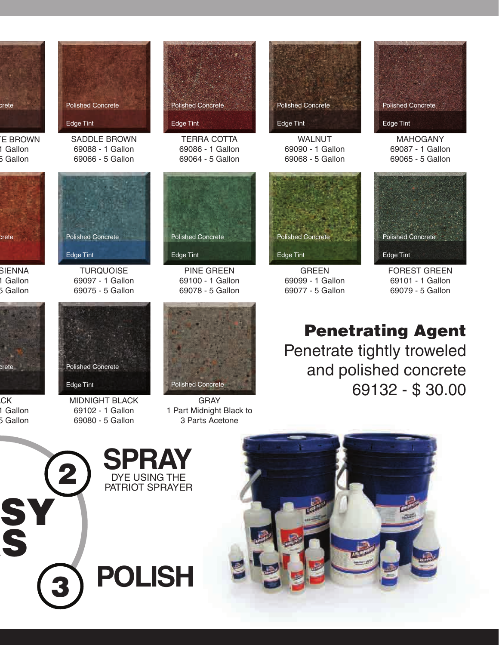

**E BROWN** 1 Gallon 5 Gallon



**SIENNA** 1 Gallon 5 Gallon



**CK** 1 Gallon 5 Gallon





TERRA COTTA 69086 - 1 Gallon 69064 - 5 Gallon



WALNUT 69090 - 1 Gallon 69068 - 5 Gallon



GREEN 69099 - 1 Gallon 69077 - 5 Gallon



MAHOGANY 69087 - 1 Gallon 69065 - 5 Gallon



FOREST GREEN 69101 - 1 Gallon 69079 - 5 Gallon

Penetrating Agent Penetrate tightly troweled

> and polished concrete 69132 - \$ 30.00

Polished Concrete Edge Tint

**TURQUOISE** 69097 - 1 Gallon 69075 - 5 Gallon

Polished Concrete

Edge Tint

MIDNIGHT BLACK 69102 - 1 Gallon 69080 - 5 Gallon



PINE GREEN 69100 - 1 Gallon 69078 - 5 Gallon

Polished Concrete

Edge Tint

GRAY 1 Part Midnight Black to 3 Parts Acetone